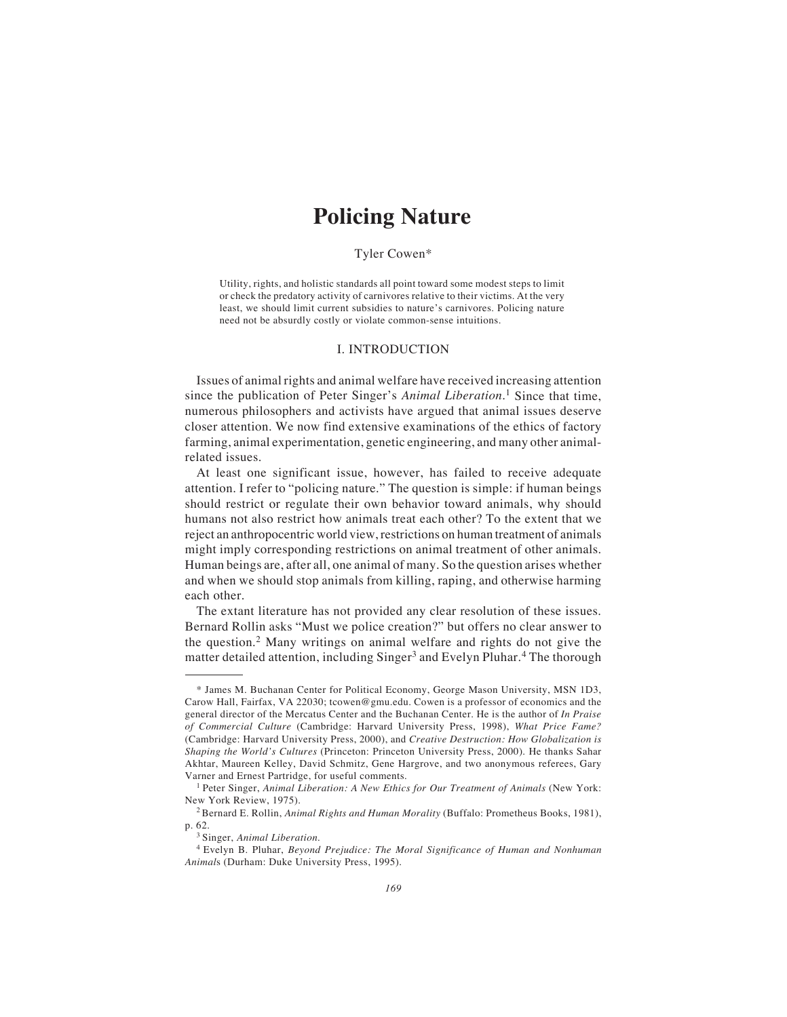# **Policing Nature**

## Tyler Cowen\*

Utility, rights, and holistic standards all point toward some modest steps to limit or check the predatory activity of carnivores relative to their victims. At the very least, we should limit current subsidies to nature's carnivores. Policing nature need not be absurdly costly or violate common-sense intuitions.

### I. INTRODUCTION

Issues of animal rights and animal welfare have received increasing attention since the publication of Peter Singer's *Animal Liberation*. 1 Since that time, numerous philosophers and activists have argued that animal issues deserve closer attention. We now find extensive examinations of the ethics of factory farming, animal experimentation, genetic engineering, and many other animalrelated issues.

At least one significant issue, however, has failed to receive adequate attention. I refer to "policing nature." The question is simple: if human beings should restrict or regulate their own behavior toward animals, why should humans not also restrict how animals treat each other? To the extent that we reject an anthropocentric world view, restrictions on human treatment of animals might imply corresponding restrictions on animal treatment of other animals. Human beings are, after all, one animal of many. So the question arises whether and when we should stop animals from killing, raping, and otherwise harming each other.

The extant literature has not provided any clear resolution of these issues. Bernard Rollin asks "Must we police creation?" but offers no clear answer to the question.2 Many writings on animal welfare and rights do not give the matter detailed attention, including Singer<sup>3</sup> and Evelyn Pluhar.<sup>4</sup> The thorough

<sup>\*</sup> James M. Buchanan Center for Political Economy, George Mason University, MSN 1D3, Carow Hall, Fairfax, VA 22030; tcowen@gmu.edu. Cowen is a professor of economics and the general director of the Mercatus Center and the Buchanan Center. He is the author of *In Praise of Commercial Culture* (Cambridge: Harvard University Press, 1998), *What Price Fame?* (Cambridge: Harvard University Press, 2000), and *Creative Destruction: How Globalization is Shaping the World's Cultures* (Princeton: Princeton University Press, 2000)*.* He thanks Sahar Akhtar, Maureen Kelley, David Schmitz, Gene Hargrove, and two anonymous referees, Gary Varner and Ernest Partridge, for useful comments.

<sup>1</sup> Peter Singer, *Animal Liberation: A New Ethics for Our Treatment of Animals* (New York: New York Review, 1975).

<sup>2</sup> Bernard E. Rollin, *Animal Rights and Human Morality* (Buffalo: Prometheus Books, 1981), p. 62.

<sup>3</sup> Singer, *Animal Liberation*.

<sup>4</sup> Evelyn B. Pluhar, *Beyond Prejudice: The Moral Significance of Human and Nonhuman Animal*s (Durham: Duke University Press, 1995).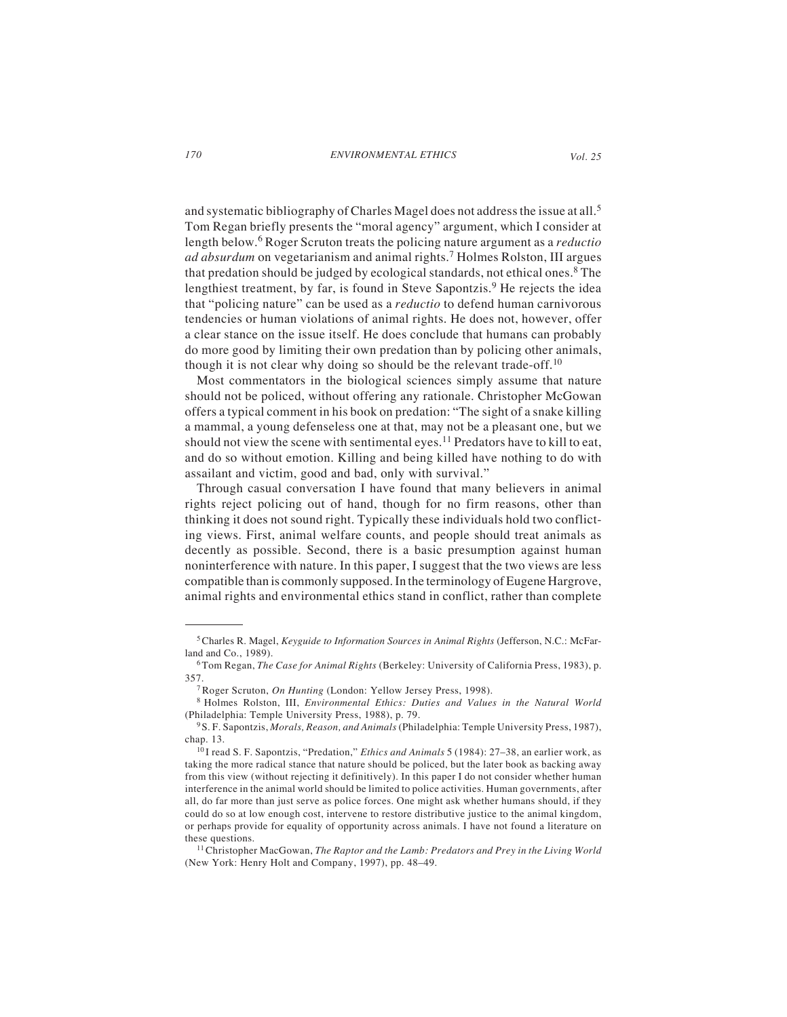and systematic bibliography of Charles Magel does not address the issue at all.<sup>5</sup> Tom Regan briefly presents the "moral agency" argument, which I consider at length below.6 Roger Scruton treats the policing nature argument as a *reductio ad absurdum* on vegetarianism and animal rights.7 Holmes Rolston, III argues that predation should be judged by ecological standards, not ethical ones.<sup>8</sup> The lengthiest treatment, by far, is found in Steve Sapontzis.<sup>9</sup> He rejects the idea that "policing nature" can be used as a *reductio* to defend human carnivorous tendencies or human violations of animal rights. He does not, however, offer a clear stance on the issue itself. He does conclude that humans can probably do more good by limiting their own predation than by policing other animals, though it is not clear why doing so should be the relevant trade-off.<sup>10</sup>

Most commentators in the biological sciences simply assume that nature should not be policed, without offering any rationale. Christopher McGowan offers a typical comment in his book on predation: "The sight of a snake killing a mammal, a young defenseless one at that, may not be a pleasant one, but we should not view the scene with sentimental eyes.<sup>11</sup> Predators have to kill to eat, and do so without emotion. Killing and being killed have nothing to do with assailant and victim, good and bad, only with survival."

Through casual conversation I have found that many believers in animal rights reject policing out of hand, though for no firm reasons, other than thinking it does not sound right. Typically these individuals hold two conflicting views. First, animal welfare counts, and people should treat animals as decently as possible. Second, there is a basic presumption against human noninterference with nature. In this paper, I suggest that the two views are less compatible than is commonly supposed. In the terminology of Eugene Hargrove, animal rights and environmental ethics stand in conflict, rather than complete

<sup>5</sup> Charles R. Magel, *Keyguide to Information Sources in Animal Rights* (Jefferson, N.C.: McFarland and Co., 1989).

<sup>6</sup> Tom Regan, *The Case for Animal Rights* (Berkeley: University of California Press, 1983), p. 357.

<sup>7</sup> Roger Scruton, *On Hunting* (London: Yellow Jersey Press, 1998).

<sup>8</sup> Holmes Rolston, III, *Environmental Ethics: Duties and Values in the Natural World* (Philadelphia: Temple University Press, 1988), p. 79.

<sup>9</sup> S. F. Sapontzis, *Morals, Reason, and Animals* (Philadelphia: Temple University Press, 1987), chap. 13.

<sup>10</sup> I read S. F. Sapontzis, "Predation," *Ethics and Animals* 5 (1984): 27–38, an earlier work, as taking the more radical stance that nature should be policed, but the later book as backing away from this view (without rejecting it definitively). In this paper I do not consider whether human interference in the animal world should be limited to police activities. Human governments, after all, do far more than just serve as police forces. One might ask whether humans should, if they could do so at low enough cost, intervene to restore distributive justice to the animal kingdom, or perhaps provide for equality of opportunity across animals. I have not found a literature on these questions.

<sup>11</sup> Christopher MacGowan, *The Raptor and the Lamb: Predators and Prey in the Living World* (New York: Henry Holt and Company, 1997), pp. 48–49.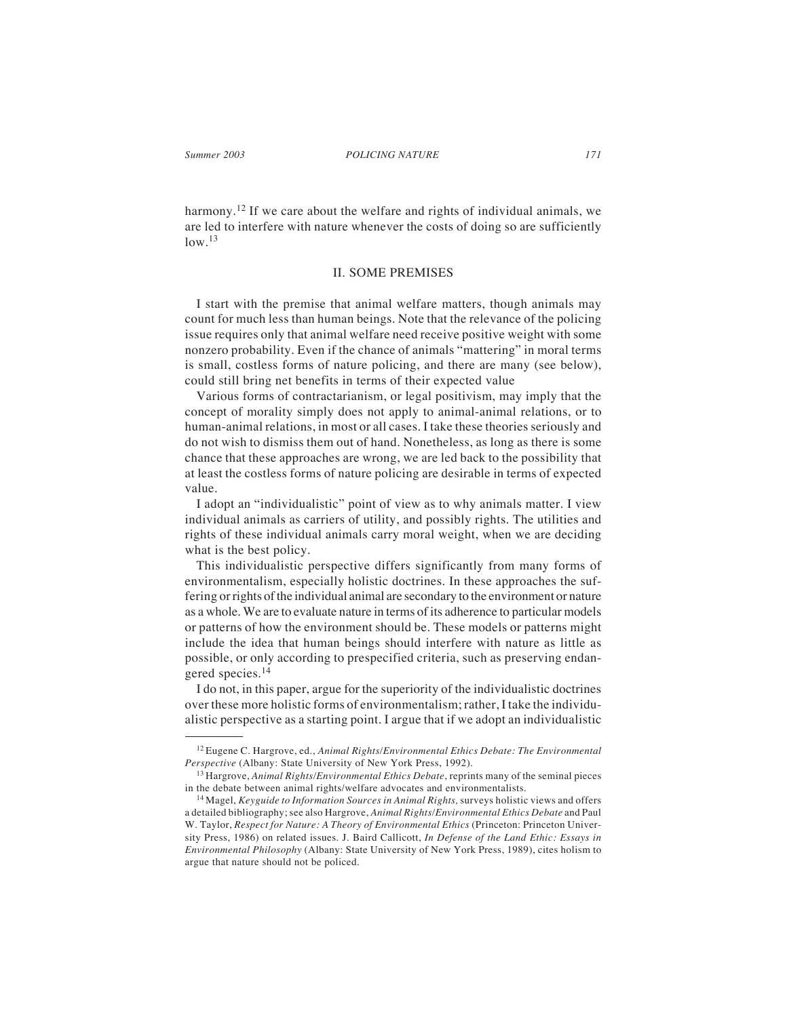harmony.<sup>12</sup> If we care about the welfare and rights of individual animals, we are led to interfere with nature whenever the costs of doing so are sufficiently  $low.<sup>13</sup>$ 

## II. SOME PREMISES

I start with the premise that animal welfare matters, though animals may count for much less than human beings. Note that the relevance of the policing issue requires only that animal welfare need receive positive weight with some nonzero probability. Even if the chance of animals "mattering" in moral terms is small, costless forms of nature policing, and there are many (see below), could still bring net benefits in terms of their expected value

Various forms of contractarianism, or legal positivism, may imply that the concept of morality simply does not apply to animal-animal relations, or to human-animal relations, in most or all cases. I take these theories seriously and do not wish to dismiss them out of hand. Nonetheless, as long as there is some chance that these approaches are wrong, we are led back to the possibility that at least the costless forms of nature policing are desirable in terms of expected value.

I adopt an "individualistic" point of view as to why animals matter. I view individual animals as carriers of utility, and possibly rights. The utilities and rights of these individual animals carry moral weight, when we are deciding what is the best policy.

This individualistic perspective differs significantly from many forms of environmentalism, especially holistic doctrines. In these approaches the suffering or rights of the individual animal are secondary to the environment or nature as a whole. We are to evaluate nature in terms of its adherence to particular models or patterns of how the environment should be. These models or patterns might include the idea that human beings should interfere with nature as little as possible, or only according to prespecified criteria, such as preserving endangered species.<sup>14</sup>

I do not, in this paper, argue for the superiority of the individualistic doctrines over these more holistic forms of environmentalism; rather, I take the individualistic perspective as a starting point. I argue that if we adopt an individualistic

<sup>12</sup> Eugene C. Hargrove, ed., *Animal Rights/Environmental Ethics Debate: The Environmental Perspective* (Albany: State University of New York Press, 1992).

<sup>13</sup> Hargrove, *Animal Rights/Environmental Ethics Debate*, reprints many of the seminal pieces in the debate between animal rights/welfare advocates and environmentalists.

<sup>14</sup> Magel, *Keyguide to Information Sources in Animal Rights,* surveys holistic views and offers a detailed bibliography; see also Hargrove, *Animal Rights/Environmental Ethics Debate* and Paul W. Taylor, *Respect for Nature: A Theory of Environmental Ethics* (Princeton: Princeton University Press, 1986) on related issues. J. Baird Callicott, *In Defense of the Land Ethic: Essays in Environmental Philosophy* (Albany: State University of New York Press, 1989), cites holism to argue that nature should not be policed.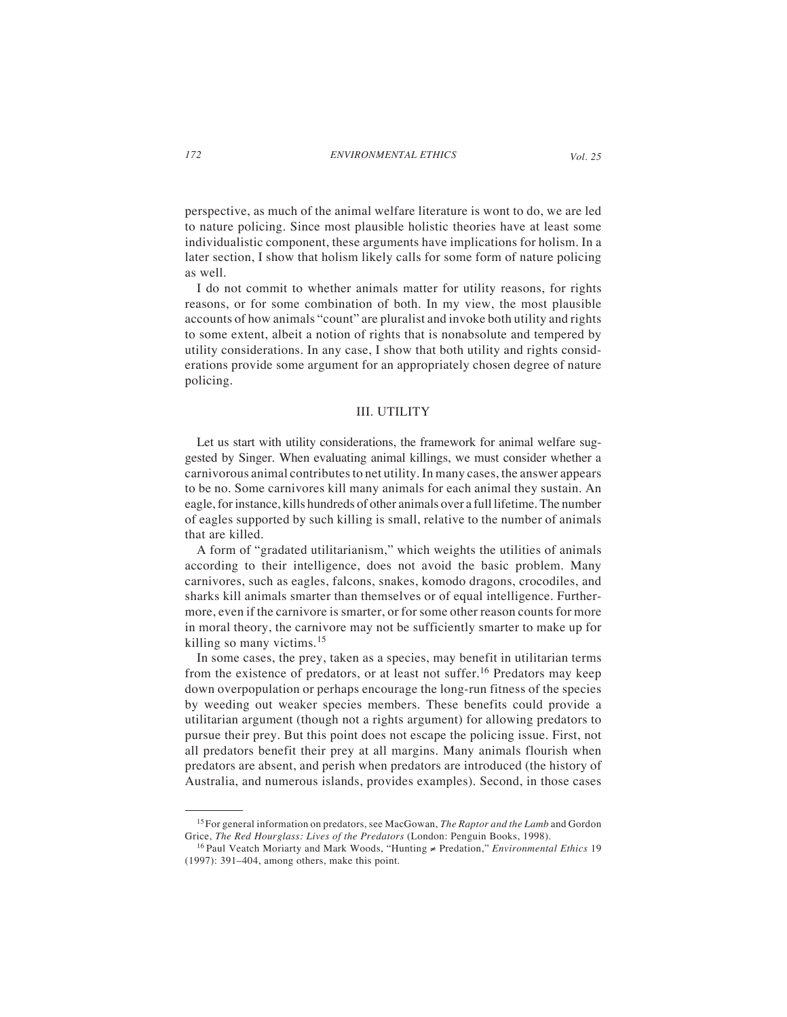perspective, as much of the animal welfare literature is wont to do, we are led to nature policing. Since most plausible holistic theories have at least some individualistic component, these arguments have implications for holism. In a later section, I show that holism likely calls for some form of nature policing as well.

I do not commit to whether animals matter for utility reasons, for rights reasons, or for some combination of both. In my view, the most plausible accounts of how animals "count" are pluralist and invoke both utility and rights to some extent, albeit a notion of rights that is nonabsolute and tempered by utility considerations. In any case, I show that both utility and rights considerations provide some argument for an appropriately chosen degree of nature policing.

### III. UTILITY

Let us start with utility considerations, the framework for animal welfare suggested by Singer. When evaluating animal killings, we must consider whether a carnivorous animal contributes to net utility. In many cases, the answer appears to be no. Some carnivores kill many animals for each animal they sustain. An eagle, for instance, kills hundreds of other animals over a full lifetime. The number of eagles supported by such killing is small, relative to the number of animals that are killed.

A form of "gradated utilitarianism," which weights the utilities of animals according to their intelligence, does not avoid the basic problem. Many carnivores, such as eagles, falcons, snakes, komodo dragons, crocodiles, and sharks kill animals smarter than themselves or of equal intelligence. Furthermore, even if the carnivore is smarter, or for some other reason counts for more in moral theory, the carnivore may not be sufficiently smarter to make up for killing so many victims.<sup>15</sup>

In some cases, the prey, taken as a species, may benefit in utilitarian terms from the existence of predators, or at least not suffer.16 Predators may keep down overpopulation or perhaps encourage the long-run fitness of the species by weeding out weaker species members. These benefits could provide a utilitarian argument (though not a rights argument) for allowing predators to pursue their prey. But this point does not escape the policing issue. First, not all predators benefit their prey at all margins. Many animals flourish when predators are absent, and perish when predators are introduced (the history of Australia, and numerous islands, provides examples). Second, in those cases

<sup>15</sup> For general information on predators, see MacGowan, *The Raptor and the Lamb* and Gordon Grice, *The Red Hourglass: Lives of the Predators* (London: Penguin Books, 1998).

<sup>16</sup> Paul Veatch Moriarty and Mark Woods, "Hunting ≠ Predation," *Environmental Ethics* 19 (1997): 391–404, among others, make this point.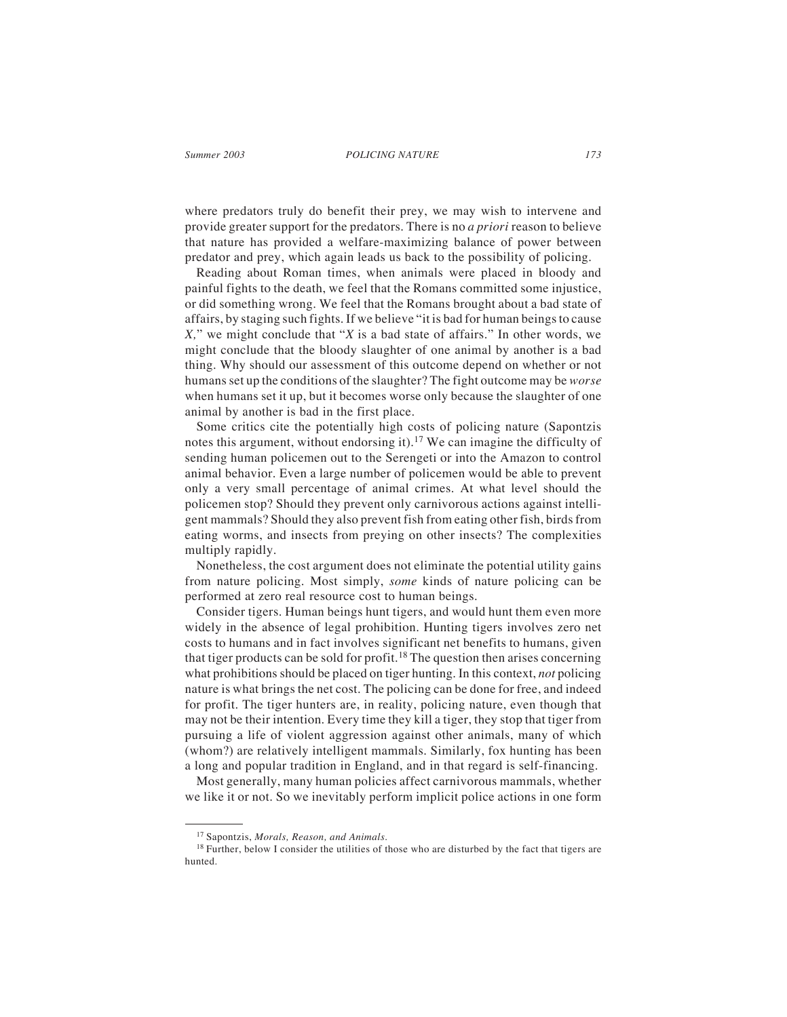where predators truly do benefit their prey, we may wish to intervene and provide greater support for the predators. There is no *a priori* reason to believe that nature has provided a welfare-maximizing balance of power between predator and prey, which again leads us back to the possibility of policing.

Reading about Roman times, when animals were placed in bloody and painful fights to the death, we feel that the Romans committed some injustice, or did something wrong. We feel that the Romans brought about a bad state of affairs, by staging such fights. If we believe "it is bad for human beings to cause *X,*" we might conclude that "*X* is a bad state of affairs." In other words, we might conclude that the bloody slaughter of one animal by another is a bad thing. Why should our assessment of this outcome depend on whether or not humans set up the conditions of the slaughter? The fight outcome may be *worse* when humans set it up, but it becomes worse only because the slaughter of one animal by another is bad in the first place.

Some critics cite the potentially high costs of policing nature (Sapontzis notes this argument, without endorsing it).17 We can imagine the difficulty of sending human policemen out to the Serengeti or into the Amazon to control animal behavior. Even a large number of policemen would be able to prevent only a very small percentage of animal crimes. At what level should the policemen stop? Should they prevent only carnivorous actions against intelligent mammals? Should they also prevent fish from eating other fish, birds from eating worms, and insects from preying on other insects? The complexities multiply rapidly.

Nonetheless, the cost argument does not eliminate the potential utility gains from nature policing. Most simply, *some* kinds of nature policing can be performed at zero real resource cost to human beings.

Consider tigers. Human beings hunt tigers, and would hunt them even more widely in the absence of legal prohibition. Hunting tigers involves zero net costs to humans and in fact involves significant net benefits to humans, given that tiger products can be sold for profit.<sup>18</sup> The question then arises concerning what prohibitions should be placed on tiger hunting. In this context, *not* policing nature is what brings the net cost. The policing can be done for free, and indeed for profit. The tiger hunters are, in reality, policing nature, even though that may not be their intention. Every time they kill a tiger, they stop that tiger from pursuing a life of violent aggression against other animals, many of which (whom?) are relatively intelligent mammals. Similarly, fox hunting has been a long and popular tradition in England, and in that regard is self-financing.

Most generally, many human policies affect carnivorous mammals, whether we like it or not. So we inevitably perform implicit police actions in one form

<sup>17</sup> Sapontzis, *Morals, Reason, and Animals*.

 $18$  Further, below I consider the utilities of those who are disturbed by the fact that tigers are hunted.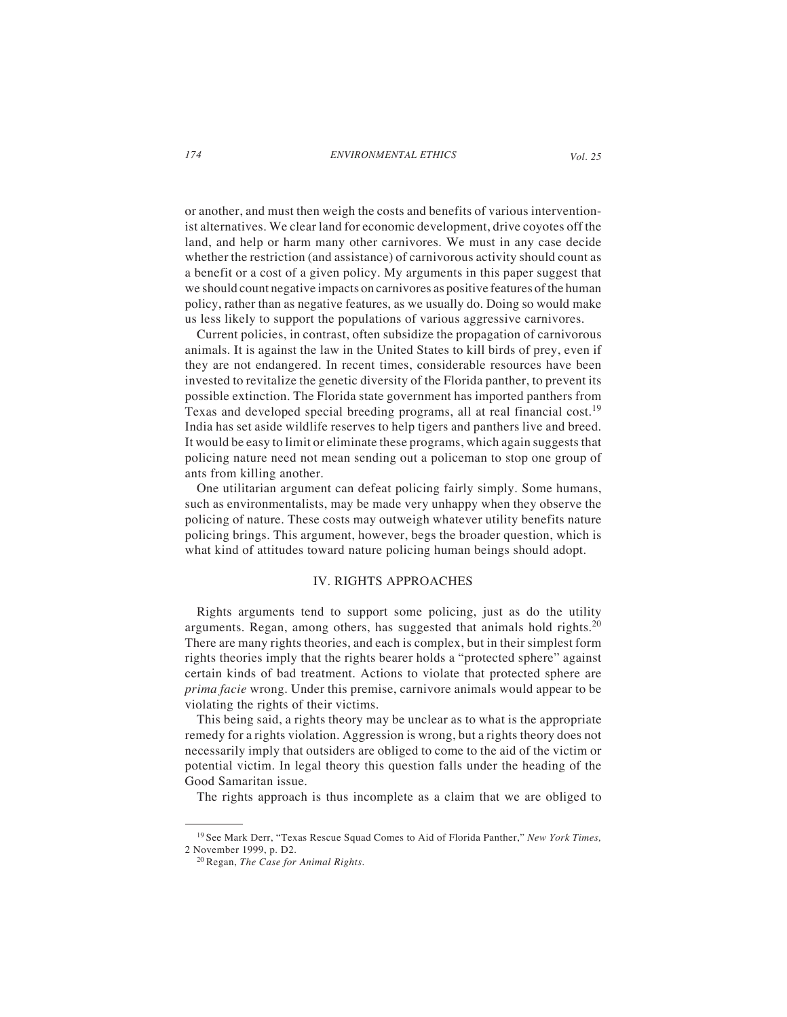or another, and must then weigh the costs and benefits of various interventionist alternatives. We clear land for economic development, drive coyotes off the land, and help or harm many other carnivores. We must in any case decide whether the restriction (and assistance) of carnivorous activity should count as a benefit or a cost of a given policy. My arguments in this paper suggest that we should count negative impacts on carnivores as positive features of the human policy, rather than as negative features, as we usually do. Doing so would make us less likely to support the populations of various aggressive carnivores.

Current policies, in contrast, often subsidize the propagation of carnivorous animals. It is against the law in the United States to kill birds of prey, even if they are not endangered. In recent times, considerable resources have been invested to revitalize the genetic diversity of the Florida panther, to prevent its possible extinction. The Florida state government has imported panthers from Texas and developed special breeding programs, all at real financial cost.<sup>19</sup> India has set aside wildlife reserves to help tigers and panthers live and breed. It would be easy to limit or eliminate these programs, which again suggests that policing nature need not mean sending out a policeman to stop one group of ants from killing another.

One utilitarian argument can defeat policing fairly simply. Some humans, such as environmentalists, may be made very unhappy when they observe the policing of nature. These costs may outweigh whatever utility benefits nature policing brings. This argument, however, begs the broader question, which is what kind of attitudes toward nature policing human beings should adopt.

## IV. RIGHTS APPROACHES

Rights arguments tend to support some policing, just as do the utility arguments. Regan, among others, has suggested that animals hold rights. $20$ There are many rights theories, and each is complex, but in their simplest form rights theories imply that the rights bearer holds a "protected sphere" against certain kinds of bad treatment. Actions to violate that protected sphere are *prima facie* wrong. Under this premise, carnivore animals would appear to be violating the rights of their victims.

This being said, a rights theory may be unclear as to what is the appropriate remedy for a rights violation. Aggression is wrong, but a rights theory does not necessarily imply that outsiders are obliged to come to the aid of the victim or potential victim. In legal theory this question falls under the heading of the Good Samaritan issue.

The rights approach is thus incomplete as a claim that we are obliged to

<sup>19</sup> See Mark Derr, "Texas Rescue Squad Comes to Aid of Florida Panther," *New York Times,* 2 November 1999, p. D2.

<sup>20</sup> Regan, *The Case for Animal Rights*.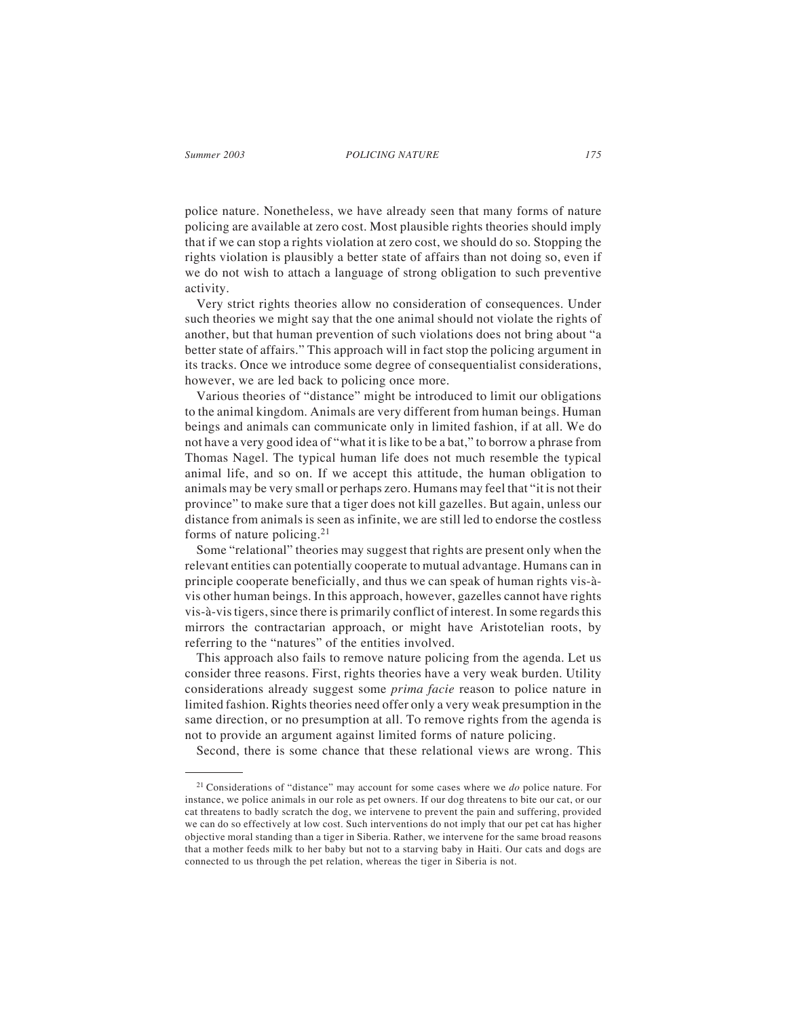police nature. Nonetheless, we have already seen that many forms of nature policing are available at zero cost. Most plausible rights theories should imply that if we can stop a rights violation at zero cost, we should do so. Stopping the rights violation is plausibly a better state of affairs than not doing so, even if we do not wish to attach a language of strong obligation to such preventive activity.

Very strict rights theories allow no consideration of consequences. Under such theories we might say that the one animal should not violate the rights of another, but that human prevention of such violations does not bring about "a better state of affairs." This approach will in fact stop the policing argument in its tracks. Once we introduce some degree of consequentialist considerations, however, we are led back to policing once more.

Various theories of "distance" might be introduced to limit our obligations to the animal kingdom. Animals are very different from human beings. Human beings and animals can communicate only in limited fashion, if at all. We do not have a very good idea of "what it is like to be a bat," to borrow a phrase from Thomas Nagel. The typical human life does not much resemble the typical animal life, and so on. If we accept this attitude, the human obligation to animals may be very small or perhaps zero. Humans may feel that "it is not their province" to make sure that a tiger does not kill gazelles. But again, unless our distance from animals is seen as infinite, we are still led to endorse the costless forms of nature policing.<sup>21</sup>

Some "relational" theories may suggest that rights are present only when the relevant entities can potentially cooperate to mutual advantage. Humans can in principle cooperate beneficially, and thus we can speak of human rights vis-àvis other human beings. In this approach, however, gazelles cannot have rights vis-à-vis tigers, since there is primarily conflict of interest. In some regards this mirrors the contractarian approach, or might have Aristotelian roots, by referring to the "natures" of the entities involved.

This approach also fails to remove nature policing from the agenda. Let us consider three reasons. First, rights theories have a very weak burden. Utility considerations already suggest some *prima facie* reason to police nature in limited fashion. Rights theories need offer only a very weak presumption in the same direction, or no presumption at all. To remove rights from the agenda is not to provide an argument against limited forms of nature policing.

Second, there is some chance that these relational views are wrong. This

<sup>21</sup> Considerations of "distance" may account for some cases where we *do* police nature. For instance, we police animals in our role as pet owners. If our dog threatens to bite our cat, or our cat threatens to badly scratch the dog, we intervene to prevent the pain and suffering, provided we can do so effectively at low cost. Such interventions do not imply that our pet cat has higher objective moral standing than a tiger in Siberia. Rather, we intervene for the same broad reasons that a mother feeds milk to her baby but not to a starving baby in Haiti. Our cats and dogs are connected to us through the pet relation, whereas the tiger in Siberia is not.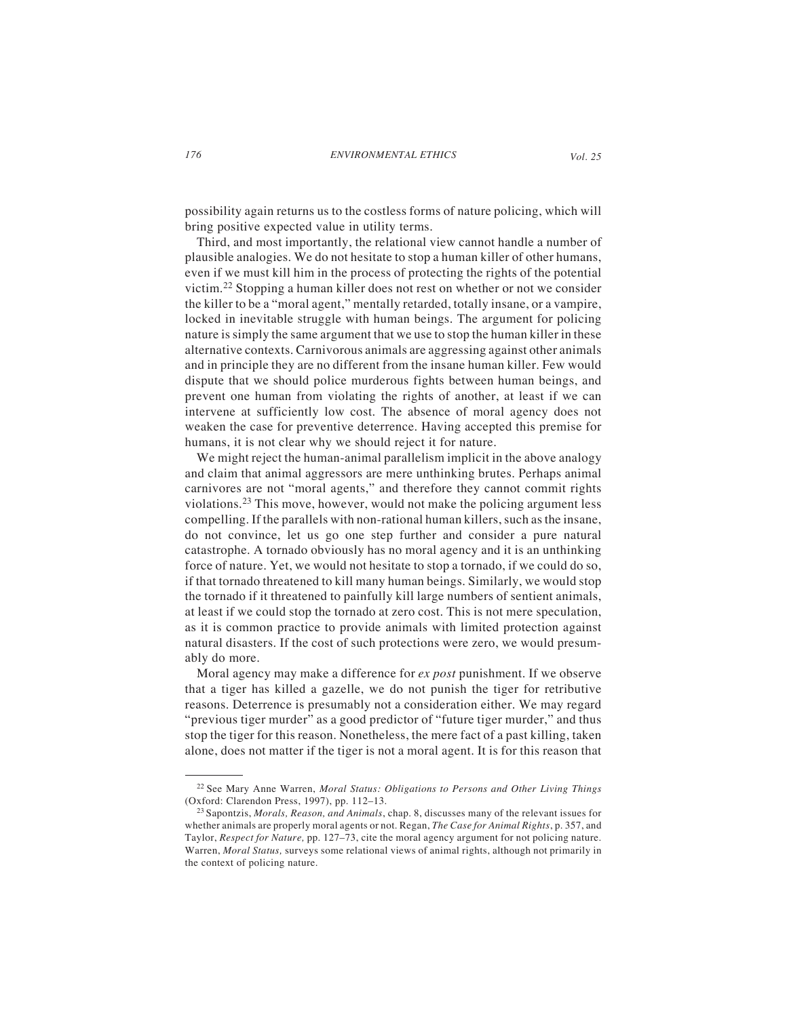possibility again returns us to the costless forms of nature policing, which will bring positive expected value in utility terms.

Third, and most importantly, the relational view cannot handle a number of plausible analogies. We do not hesitate to stop a human killer of other humans, even if we must kill him in the process of protecting the rights of the potential victim.22 Stopping a human killer does not rest on whether or not we consider the killer to be a "moral agent," mentally retarded, totally insane, or a vampire, locked in inevitable struggle with human beings. The argument for policing nature is simply the same argument that we use to stop the human killer in these alternative contexts. Carnivorous animals are aggressing against other animals and in principle they are no different from the insane human killer. Few would dispute that we should police murderous fights between human beings, and prevent one human from violating the rights of another, at least if we can intervene at sufficiently low cost. The absence of moral agency does not weaken the case for preventive deterrence. Having accepted this premise for humans, it is not clear why we should reject it for nature.

We might reject the human-animal parallelism implicit in the above analogy and claim that animal aggressors are mere unthinking brutes. Perhaps animal carnivores are not "moral agents," and therefore they cannot commit rights violations.<sup>23</sup> This move, however, would not make the policing argument less compelling. If the parallels with non-rational human killers, such as the insane, do not convince, let us go one step further and consider a pure natural catastrophe. A tornado obviously has no moral agency and it is an unthinking force of nature. Yet, we would not hesitate to stop a tornado, if we could do so, if that tornado threatened to kill many human beings. Similarly, we would stop the tornado if it threatened to painfully kill large numbers of sentient animals, at least if we could stop the tornado at zero cost. This is not mere speculation, as it is common practice to provide animals with limited protection against natural disasters. If the cost of such protections were zero, we would presumably do more.

Moral agency may make a difference for *ex post* punishment. If we observe that a tiger has killed a gazelle, we do not punish the tiger for retributive reasons. Deterrence is presumably not a consideration either. We may regard "previous tiger murder" as a good predictor of "future tiger murder," and thus stop the tiger for this reason. Nonetheless, the mere fact of a past killing, taken alone, does not matter if the tiger is not a moral agent. It is for this reason that

<sup>22</sup> See Mary Anne Warren, *Moral Status: Obligations to Persons and Other Living Things* (Oxford: Clarendon Press, 1997), pp. 112–13.

<sup>23</sup> Sapontzis, *Morals, Reason, and Animals*, chap. 8, discusses many of the relevant issues for whether animals are properly moral agents or not. Regan, *The Case for Animal Rights*, p. 357, and Taylor, *Respect for Nature,* pp. 127–73, cite the moral agency argument for not policing nature. Warren, *Moral Status,* surveys some relational views of animal rights, although not primarily in the context of policing nature.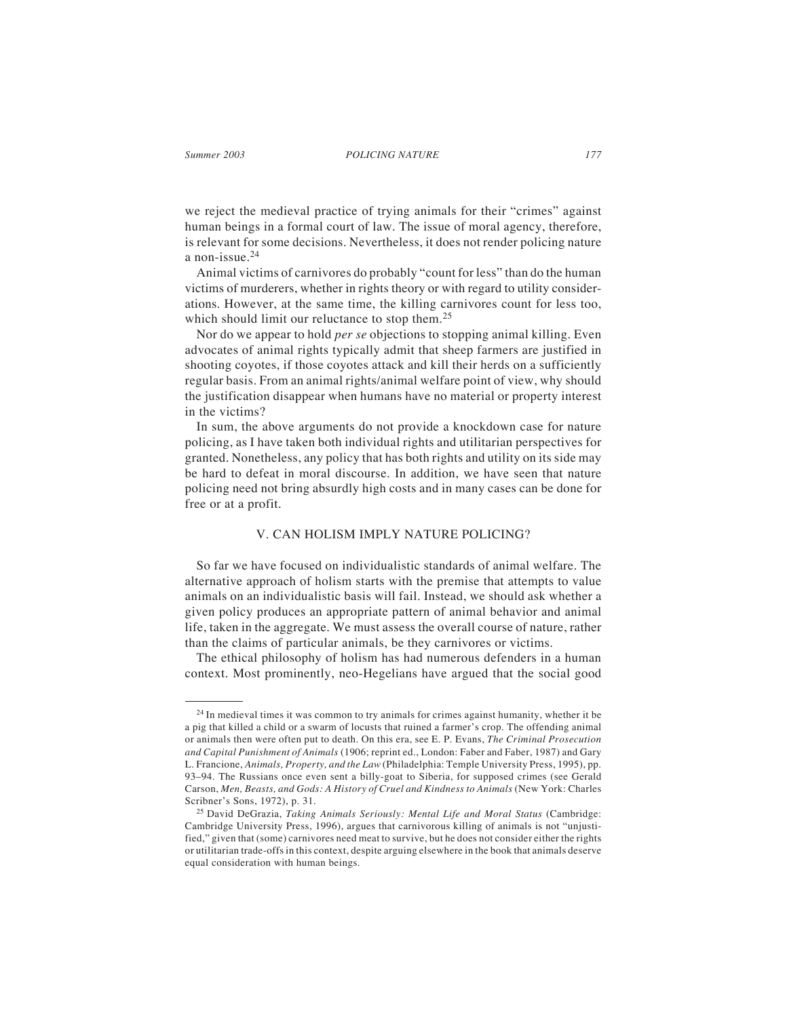*Summer 2003 177 POLICING NATURE*

we reject the medieval practice of trying animals for their "crimes" against human beings in a formal court of law. The issue of moral agency, therefore, is relevant for some decisions. Nevertheless, it does not render policing nature a non-issue.<sup>24</sup>

Animal victims of carnivores do probably "count for less" than do the human victims of murderers, whether in rights theory or with regard to utility considerations. However, at the same time, the killing carnivores count for less too, which should limit our reluctance to stop them.<sup>25</sup>

Nor do we appear to hold *per se* objections to stopping animal killing. Even advocates of animal rights typically admit that sheep farmers are justified in shooting coyotes, if those coyotes attack and kill their herds on a sufficiently regular basis. From an animal rights/animal welfare point of view, why should the justification disappear when humans have no material or property interest in the victims?

In sum, the above arguments do not provide a knockdown case for nature policing, as I have taken both individual rights and utilitarian perspectives for granted. Nonetheless, any policy that has both rights and utility on its side may be hard to defeat in moral discourse. In addition, we have seen that nature policing need not bring absurdly high costs and in many cases can be done for free or at a profit.

### V. CAN HOLISM IMPLY NATURE POLICING?

So far we have focused on individualistic standards of animal welfare. The alternative approach of holism starts with the premise that attempts to value animals on an individualistic basis will fail. Instead, we should ask whether a given policy produces an appropriate pattern of animal behavior and animal life, taken in the aggregate. We must assess the overall course of nature, rather than the claims of particular animals, be they carnivores or victims.

The ethical philosophy of holism has had numerous defenders in a human context. Most prominently, neo-Hegelians have argued that the social good

<sup>&</sup>lt;sup>24</sup> In medieval times it was common to try animals for crimes against humanity, whether it be a pig that killed a child or a swarm of locusts that ruined a farmer's crop. The offending animal or animals then were often put to death. On this era, see E. P. Evans, *The Criminal Prosecution and Capital Punishment of Animals* (1906; reprint ed., London: Faber and Faber, 1987) and Gary L. Francione, *Animals, Property, and the Law* (Philadelphia: Temple University Press, 1995), pp. 93–94. The Russians once even sent a billy-goat to Siberia, for supposed crimes (see Gerald Carson, *Men, Beasts, and Gods: A History of Cruel and Kindness to Animals* (New York: Charles Scribner's Sons, 1972), p. 31.

<sup>25</sup> David DeGrazia, *Taking Animals Seriously: Mental Life and Moral Status* (Cambridge: Cambridge University Press, 1996), argues that carnivorous killing of animals is not "unjustified," given that (some) carnivores need meat to survive, but he does not consider either the rights or utilitarian trade-offs in this context, despite arguing elsewhere in the book that animals deserve equal consideration with human beings.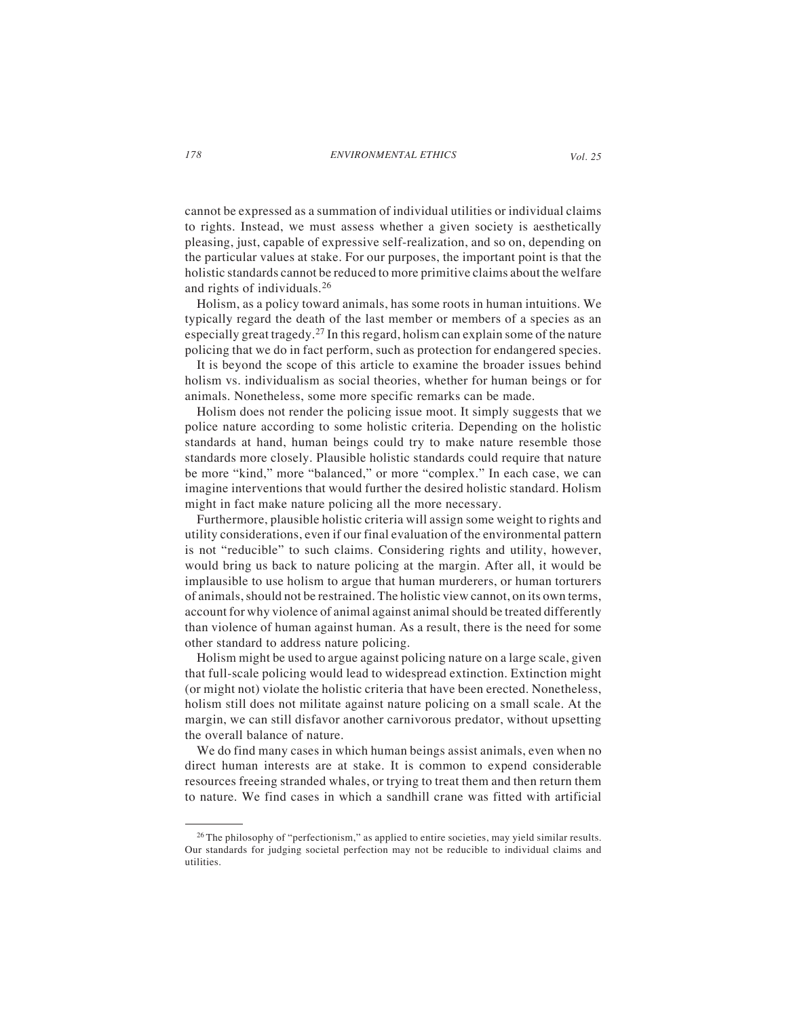cannot be expressed as a summation of individual utilities or individual claims to rights. Instead, we must assess whether a given society is aesthetically pleasing, just, capable of expressive self-realization, and so on, depending on the particular values at stake. For our purposes, the important point is that the holistic standards cannot be reduced to more primitive claims about the welfare and rights of individuals.<sup>26</sup>

Holism, as a policy toward animals, has some roots in human intuitions. We typically regard the death of the last member or members of a species as an especially great tragedy.27 In this regard, holism can explain some of the nature policing that we do in fact perform, such as protection for endangered species.

It is beyond the scope of this article to examine the broader issues behind holism vs. individualism as social theories, whether for human beings or for animals. Nonetheless, some more specific remarks can be made.

Holism does not render the policing issue moot. It simply suggests that we police nature according to some holistic criteria. Depending on the holistic standards at hand, human beings could try to make nature resemble those standards more closely. Plausible holistic standards could require that nature be more "kind," more "balanced," or more "complex." In each case, we can imagine interventions that would further the desired holistic standard. Holism might in fact make nature policing all the more necessary.

Furthermore, plausible holistic criteria will assign some weight to rights and utility considerations, even if our final evaluation of the environmental pattern is not "reducible" to such claims. Considering rights and utility, however, would bring us back to nature policing at the margin. After all, it would be implausible to use holism to argue that human murderers, or human torturers of animals, should not be restrained. The holistic view cannot, on its own terms, account for why violence of animal against animal should be treated differently than violence of human against human. As a result, there is the need for some other standard to address nature policing.

Holism might be used to argue against policing nature on a large scale, given that full-scale policing would lead to widespread extinction. Extinction might (or might not) violate the holistic criteria that have been erected. Nonetheless, holism still does not militate against nature policing on a small scale. At the margin, we can still disfavor another carnivorous predator, without upsetting the overall balance of nature.

We do find many cases in which human beings assist animals, even when no direct human interests are at stake. It is common to expend considerable resources freeing stranded whales, or trying to treat them and then return them to nature. We find cases in which a sandhill crane was fitted with artificial

 $26$  The philosophy of "perfectionism," as applied to entire societies, may yield similar results. Our standards for judging societal perfection may not be reducible to individual claims and utilities.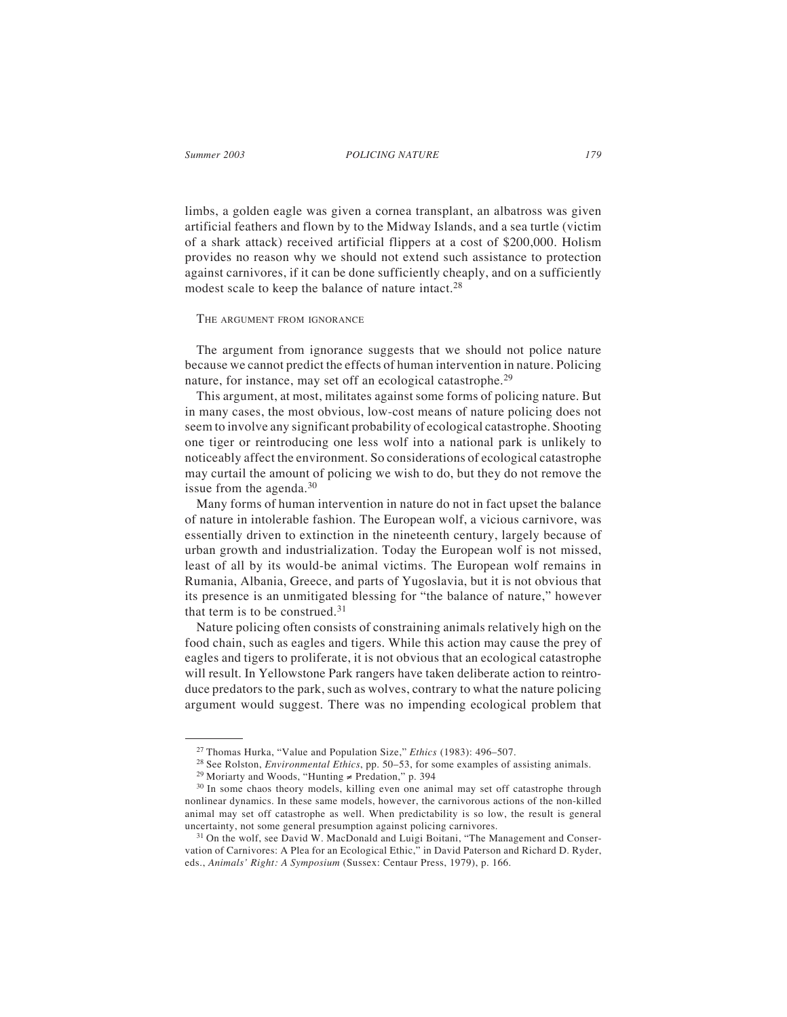*Summer 2003 179 POLICING NATURE*

limbs, a golden eagle was given a cornea transplant, an albatross was given artificial feathers and flown by to the Midway Islands, and a sea turtle (victim of a shark attack) received artificial flippers at a cost of \$200,000. Holism provides no reason why we should not extend such assistance to protection against carnivores, if it can be done sufficiently cheaply, and on a sufficiently modest scale to keep the balance of nature intact.<sup>28</sup>

#### THE ARGUMENT FROM IGNORANCE

The argument from ignorance suggests that we should not police nature because we cannot predict the effects of human intervention in nature. Policing nature, for instance, may set off an ecological catastrophe.<sup>29</sup>

This argument, at most, militates against some forms of policing nature. But in many cases, the most obvious, low-cost means of nature policing does not seem to involve any significant probability of ecological catastrophe. Shooting one tiger or reintroducing one less wolf into a national park is unlikely to noticeably affect the environment. So considerations of ecological catastrophe may curtail the amount of policing we wish to do, but they do not remove the issue from the agenda. $30$ 

Many forms of human intervention in nature do not in fact upset the balance of nature in intolerable fashion. The European wolf, a vicious carnivore, was essentially driven to extinction in the nineteenth century, largely because of urban growth and industrialization. Today the European wolf is not missed, least of all by its would-be animal victims. The European wolf remains in Rumania, Albania, Greece, and parts of Yugoslavia, but it is not obvious that its presence is an unmitigated blessing for "the balance of nature," however that term is to be construed. $31$ 

Nature policing often consists of constraining animals relatively high on the food chain, such as eagles and tigers. While this action may cause the prey of eagles and tigers to proliferate, it is not obvious that an ecological catastrophe will result. In Yellowstone Park rangers have taken deliberate action to reintroduce predators to the park, such as wolves, contrary to what the nature policing argument would suggest. There was no impending ecological problem that

<sup>27</sup> Thomas Hurka, "Value and Population Size," *Ethics* (1983): 496–507.

<sup>28</sup> See Rolston, *Environmental Ethics*, pp. 50–53, for some examples of assisting animals.

<sup>29</sup> Moriarty and Woods, "Hunting ≠ Predation," p. 394

<sup>&</sup>lt;sup>30</sup> In some chaos theory models, killing even one animal may set off catastrophe through nonlinear dynamics. In these same models, however, the carnivorous actions of the non-killed animal may set off catastrophe as well. When predictability is so low, the result is general uncertainty, not some general presumption against policing carnivores.

<sup>&</sup>lt;sup>31</sup> On the wolf, see David W. MacDonald and Luigi Boitani, "The Management and Conservation of Carnivores: A Plea for an Ecological Ethic," in David Paterson and Richard D. Ryder, eds., *Animals' Right: A Symposium* (Sussex: Centaur Press, 1979), p. 166.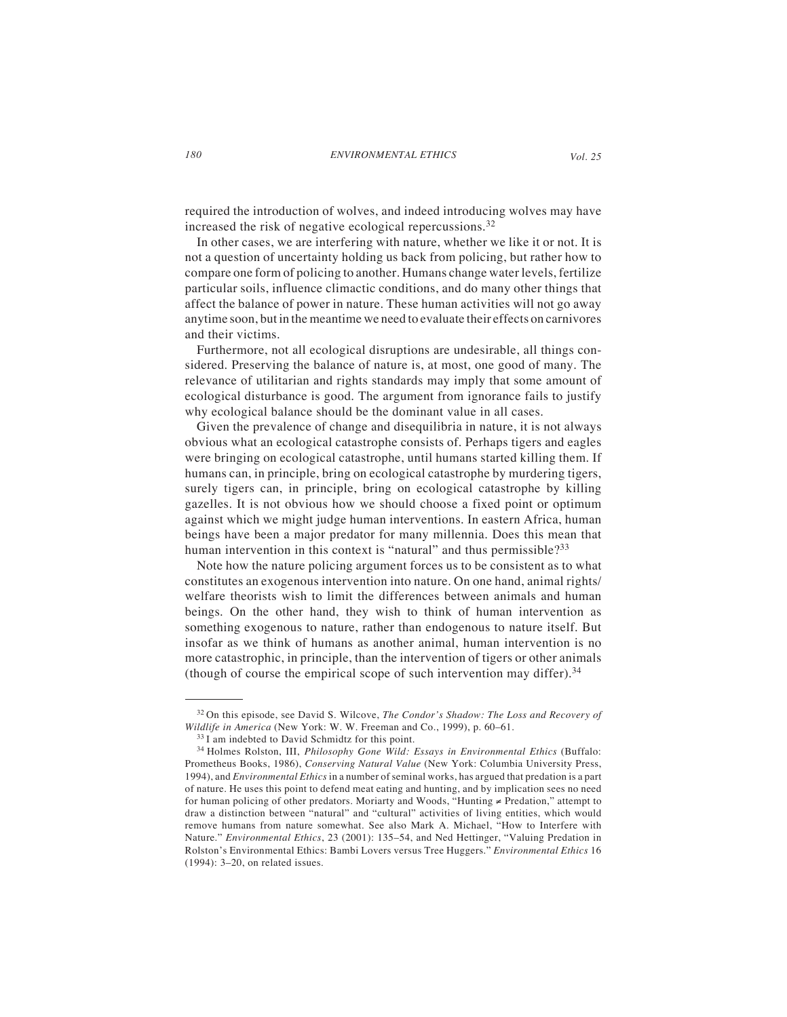required the introduction of wolves, and indeed introducing wolves may have increased the risk of negative ecological repercussions.<sup>32</sup>

In other cases, we are interfering with nature, whether we like it or not. It is not a question of uncertainty holding us back from policing, but rather how to compare one form of policing to another. Humans change water levels, fertilize particular soils, influence climactic conditions, and do many other things that affect the balance of power in nature. These human activities will not go away anytime soon, but in the meantime we need to evaluate their effects on carnivores and their victims.

Furthermore, not all ecological disruptions are undesirable, all things considered. Preserving the balance of nature is, at most, one good of many. The relevance of utilitarian and rights standards may imply that some amount of ecological disturbance is good. The argument from ignorance fails to justify why ecological balance should be the dominant value in all cases.

Given the prevalence of change and disequilibria in nature, it is not always obvious what an ecological catastrophe consists of. Perhaps tigers and eagles were bringing on ecological catastrophe, until humans started killing them. If humans can, in principle, bring on ecological catastrophe by murdering tigers, surely tigers can, in principle, bring on ecological catastrophe by killing gazelles. It is not obvious how we should choose a fixed point or optimum against which we might judge human interventions. In eastern Africa, human beings have been a major predator for many millennia. Does this mean that human intervention in this context is "natural" and thus permissible?<sup>33</sup>

Note how the nature policing argument forces us to be consistent as to what constitutes an exogenous intervention into nature. On one hand, animal rights/ welfare theorists wish to limit the differences between animals and human beings. On the other hand, they wish to think of human intervention as something exogenous to nature, rather than endogenous to nature itself. But insofar as we think of humans as another animal, human intervention is no more catastrophic, in principle, than the intervention of tigers or other animals (though of course the empirical scope of such intervention may differ).  $34$ 

<sup>32</sup> On this episode, see David S. Wilcove, *The Condor's Shadow: The Loss and Recovery of Wildlife in America* (New York: W. W. Freeman and Co., 1999), p. 60–61.

<sup>33</sup> I am indebted to David Schmidtz for this point.

<sup>34</sup> Holmes Rolston, III, *Philosophy Gone Wild: Essays in Environmental Ethics* (Buffalo: Prometheus Books, 1986), *Conserving Natural Value* (New York: Columbia University Press, 1994), and *Environmental Ethics* in a number of seminal works, has argued that predation is a part of nature. He uses this point to defend meat eating and hunting, and by implication sees no need for human policing of other predators. Moriarty and Woods, "Hunting ≠ Predation," attempt to draw a distinction between "natural" and "cultural" activities of living entities, which would remove humans from nature somewhat. See also Mark A. Michael, "How to Interfere with Nature." *Environmental Ethics*, 23 (2001): 135–54, and Ned Hettinger, "Valuing Predation in Rolston's Environmental Ethics: Bambi Lovers versus Tree Huggers." *Environmental Ethics* 16 (1994): 3–20, on related issues.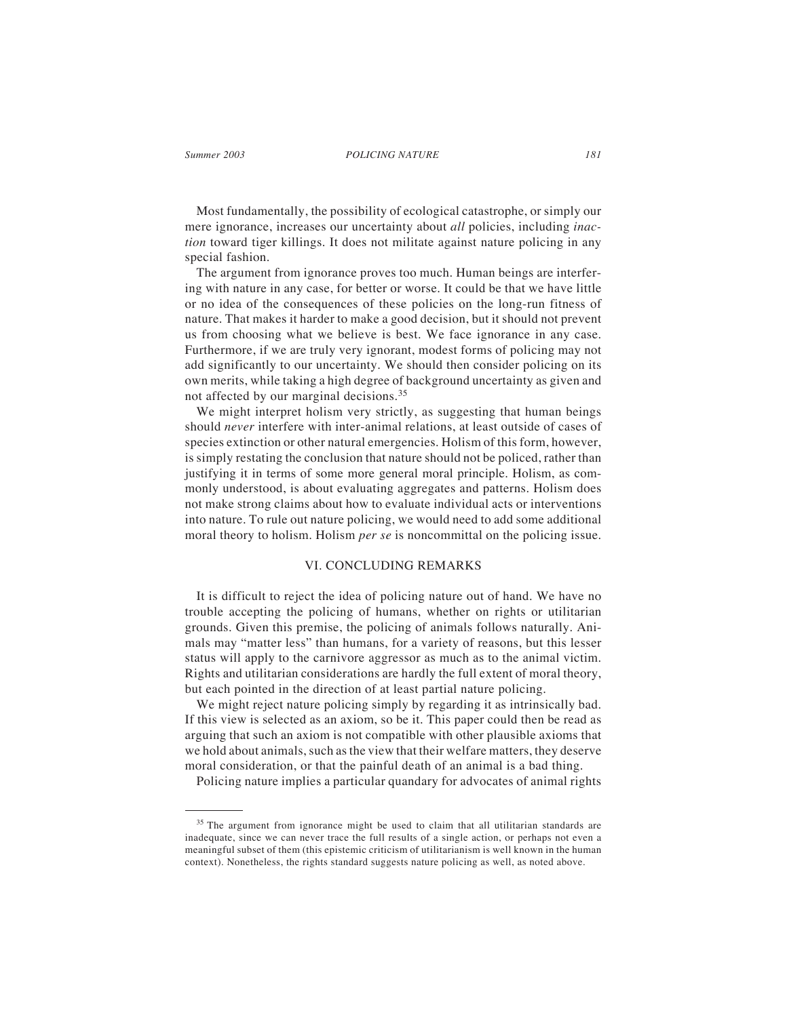#### *Summer 2003 181 POLICING NATURE*

Most fundamentally, the possibility of ecological catastrophe, or simply our mere ignorance, increases our uncertainty about *all* policies, including *inaction* toward tiger killings. It does not militate against nature policing in any special fashion.

The argument from ignorance proves too much. Human beings are interfering with nature in any case, for better or worse. It could be that we have little or no idea of the consequences of these policies on the long-run fitness of nature. That makes it harder to make a good decision, but it should not prevent us from choosing what we believe is best. We face ignorance in any case. Furthermore, if we are truly very ignorant, modest forms of policing may not add significantly to our uncertainty. We should then consider policing on its own merits, while taking a high degree of background uncertainty as given and not affected by our marginal decisions.<sup>35</sup>

We might interpret holism very strictly, as suggesting that human beings should *never* interfere with inter-animal relations, at least outside of cases of species extinction or other natural emergencies. Holism of this form, however, is simply restating the conclusion that nature should not be policed, rather than justifying it in terms of some more general moral principle. Holism, as commonly understood, is about evaluating aggregates and patterns. Holism does not make strong claims about how to evaluate individual acts or interventions into nature. To rule out nature policing, we would need to add some additional moral theory to holism. Holism *per se* is noncommittal on the policing issue.

### VI. CONCLUDING REMARKS

It is difficult to reject the idea of policing nature out of hand. We have no trouble accepting the policing of humans, whether on rights or utilitarian grounds. Given this premise, the policing of animals follows naturally. Animals may "matter less" than humans, for a variety of reasons, but this lesser status will apply to the carnivore aggressor as much as to the animal victim. Rights and utilitarian considerations are hardly the full extent of moral theory, but each pointed in the direction of at least partial nature policing.

We might reject nature policing simply by regarding it as intrinsically bad. If this view is selected as an axiom, so be it. This paper could then be read as arguing that such an axiom is not compatible with other plausible axioms that we hold about animals, such as the view that their welfare matters, they deserve moral consideration, or that the painful death of an animal is a bad thing.

Policing nature implies a particular quandary for advocates of animal rights

<sup>&</sup>lt;sup>35</sup> The argument from ignorance might be used to claim that all utilitarian standards are inadequate, since we can never trace the full results of a single action, or perhaps not even a meaningful subset of them (this epistemic criticism of utilitarianism is well known in the human context). Nonetheless, the rights standard suggests nature policing as well, as noted above.